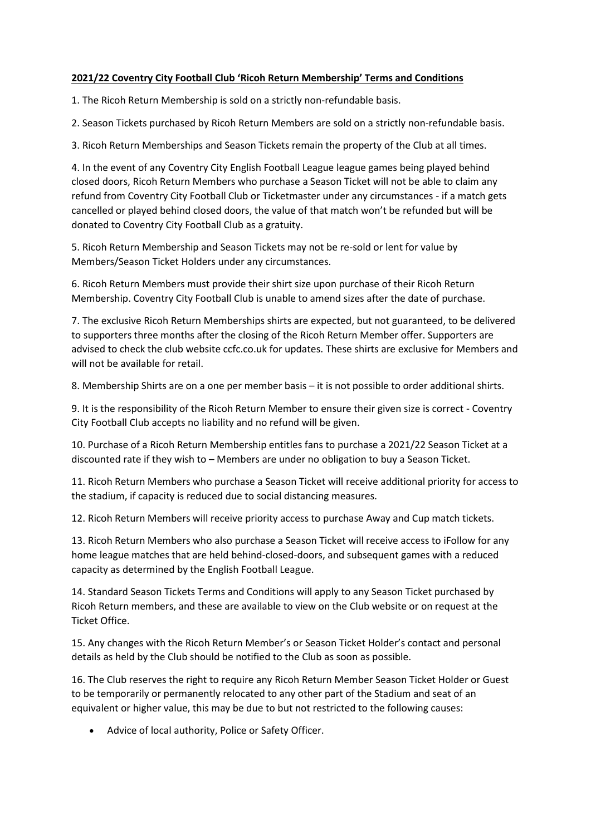## **2021/22 Coventry City Football Club 'Ricoh Return Membership' Terms and Conditions**

1. The Ricoh Return Membership is sold on a strictly non-refundable basis.

2. Season Tickets purchased by Ricoh Return Members are sold on a strictly non-refundable basis.

3. Ricoh Return Memberships and Season Tickets remain the property of the Club at all times.

4. In the event of any Coventry City English Football League league games being played behind closed doors, Ricoh Return Members who purchase a Season Ticket will not be able to claim any refund from Coventry City Football Club or Ticketmaster under any circumstances - if a match gets cancelled or played behind closed doors, the value of that match won't be refunded but will be donated to Coventry City Football Club as a gratuity.

5. Ricoh Return Membership and Season Tickets may not be re-sold or lent for value by Members/Season Ticket Holders under any circumstances.

6. Ricoh Return Members must provide their shirt size upon purchase of their Ricoh Return Membership. Coventry City Football Club is unable to amend sizes after the date of purchase.

7. The exclusive Ricoh Return Memberships shirts are expected, but not guaranteed, to be delivered to supporters three months after the closing of the Ricoh Return Member offer. Supporters are advised to check the club website ccfc.co.uk for updates. These shirts are exclusive for Members and will not be available for retail.

8. Membership Shirts are on a one per member basis – it is not possible to order additional shirts.

9. It is the responsibility of the Ricoh Return Member to ensure their given size is correct - Coventry City Football Club accepts no liability and no refund will be given.

10. Purchase of a Ricoh Return Membership entitles fans to purchase a 2021/22 Season Ticket at a discounted rate if they wish to – Members are under no obligation to buy a Season Ticket.

11. Ricoh Return Members who purchase a Season Ticket will receive additional priority for access to the stadium, if capacity is reduced due to social distancing measures.

12. Ricoh Return Members will receive priority access to purchase Away and Cup match tickets.

13. Ricoh Return Members who also purchase a Season Ticket will receive access to iFollow for any home league matches that are held behind-closed-doors, and subsequent games with a reduced capacity as determined by the English Football League.

14. Standard Season Tickets Terms and Conditions will apply to any Season Ticket purchased by Ricoh Return members, and these are available to view on the Club website or on request at the Ticket Office.

15. Any changes with the Ricoh Return Member's or Season Ticket Holder's contact and personal details as held by the Club should be notified to the Club as soon as possible.

16. The Club reserves the right to require any Ricoh Return Member Season Ticket Holder or Guest to be temporarily or permanently relocated to any other part of the Stadium and seat of an equivalent or higher value, this may be due to but not restricted to the following causes:

• Advice of local authority, Police or Safety Officer.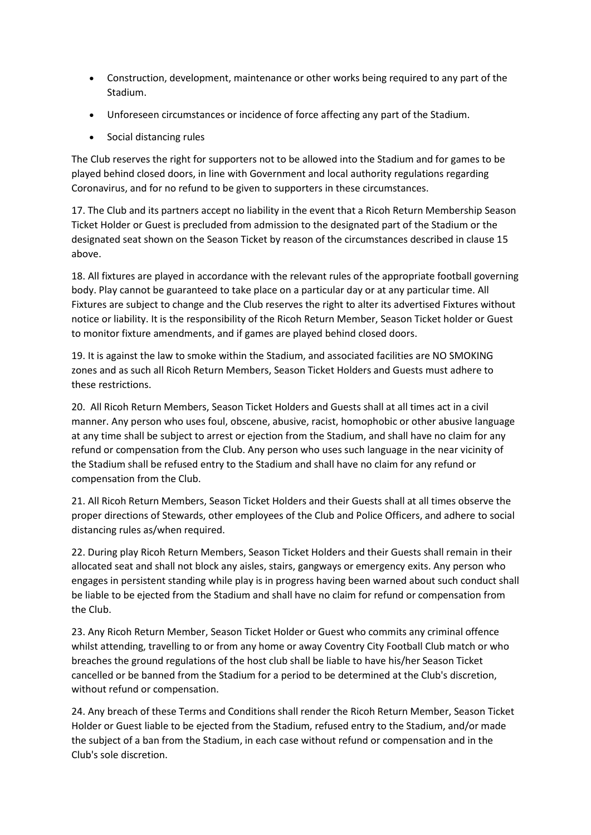- Construction, development, maintenance or other works being required to any part of the Stadium.
- Unforeseen circumstances or incidence of force affecting any part of the Stadium.
- Social distancing rules

The Club reserves the right for supporters not to be allowed into the Stadium and for games to be played behind closed doors, in line with Government and local authority regulations regarding Coronavirus, and for no refund to be given to supporters in these circumstances.

17. The Club and its partners accept no liability in the event that a Ricoh Return Membership Season Ticket Holder or Guest is precluded from admission to the designated part of the Stadium or the designated seat shown on the Season Ticket by reason of the circumstances described in clause 15 above.

18. All fixtures are played in accordance with the relevant rules of the appropriate football governing body. Play cannot be guaranteed to take place on a particular day or at any particular time. All Fixtures are subject to change and the Club reserves the right to alter its advertised Fixtures without notice or liability. It is the responsibility of the Ricoh Return Member, Season Ticket holder or Guest to monitor fixture amendments, and if games are played behind closed doors.

19. It is against the law to smoke within the Stadium, and associated facilities are NO SMOKING zones and as such all Ricoh Return Members, Season Ticket Holders and Guests must adhere to these restrictions.

20. All Ricoh Return Members, Season Ticket Holders and Guests shall at all times act in a civil manner. Any person who uses foul, obscene, abusive, racist, homophobic or other abusive language at any time shall be subject to arrest or ejection from the Stadium, and shall have no claim for any refund or compensation from the Club. Any person who uses such language in the near vicinity of the Stadium shall be refused entry to the Stadium and shall have no claim for any refund or compensation from the Club.

21. All Ricoh Return Members, Season Ticket Holders and their Guests shall at all times observe the proper directions of Stewards, other employees of the Club and Police Officers, and adhere to social distancing rules as/when required.

22. During play Ricoh Return Members, Season Ticket Holders and their Guests shall remain in their allocated seat and shall not block any aisles, stairs, gangways or emergency exits. Any person who engages in persistent standing while play is in progress having been warned about such conduct shall be liable to be ejected from the Stadium and shall have no claim for refund or compensation from the Club.

23. Any Ricoh Return Member, Season Ticket Holder or Guest who commits any criminal offence whilst attending, travelling to or from any home or away Coventry City Football Club match or who breaches the ground regulations of the host club shall be liable to have his/her Season Ticket cancelled or be banned from the Stadium for a period to be determined at the Club's discretion, without refund or compensation.

24. Any breach of these Terms and Conditions shall render the Ricoh Return Member, Season Ticket Holder or Guest liable to be ejected from the Stadium, refused entry to the Stadium, and/or made the subject of a ban from the Stadium, in each case without refund or compensation and in the Club's sole discretion.